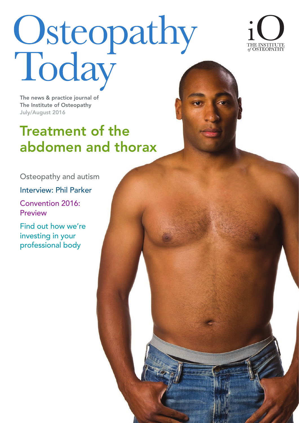# Osteopathy<br>Today



The news & practice journal of The Institute of Osteopathy July/August 2016

# Treatment of the abdomen and thorax

Osteopathy and autism

Interview: Phil Parker

Convention 2016: Preview

Find out how we're investing in your professional body

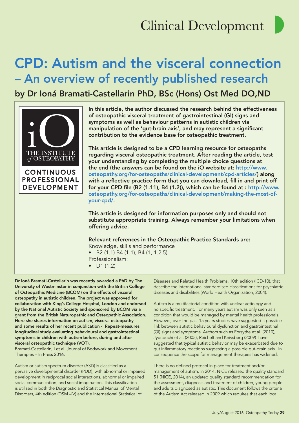# CPD: Autism and the visceral connection – An overview of recently published research

by Dr Ioná Bramati-Castellarin PhD, BSc (Hons) Ost Med DO,ND



In this article, the author discussed the research behind the effectiveness of osteopathic visceral treatment of gastrointestinal (GI) signs and symptoms as well as behaviour patterns in autistic children via manipulation of the 'gut-brain axis', and may represent a significant contribution to the evidence base for osteopathic treatment.

This article is designed to be a CPD learning resource for osteopaths regarding visceral osteopathic treatment. After reading the article, test your understanding by completing the multiple choice questions at the end (the answers can be found on the iO website at: http://www. osteopathy.org/for-osteopaths/clinical-development/cpd-articles/) along with a reflective practice form that you can download, fill in and print off for your CPD fle (B2 (1.11), B4 (1.2)), which can be found at : http://www. osteopathy.org/for-osteopaths/clinical-development/making-the-most-ofyour-cpd/.

This article is designed for information purposes only and should not substitute appropriate training. Always remember your limitations when offering advice.

### Relevant references in the Osteopathic Practice Standards are:

Knowledge, skills and performance • B2 (1.1) B4 (1.1), B4 (1, 1.2.5) Professionalism: • D1 (1.2)

Dr Ioná Bramati-Castellarin was recently awarded a PhD by The University of Westminster in conjunction with the British College of Osteopathic Medicine (BCOM) on the effects of visceral osteopathy in autistic children. The project was approved for collaboration with King's College Hospital, London and endorsed by the National Autistic Society and sponsored by BCOM via a grant from the British Naturopathic and Osteopathic Association. Here she shares information on autism, visceral osteopathy and some results of her recent publication - Repeat-measures longitudinal study evaluating behavioural and gastrointestinal symptoms in children with autism before, during and after visceral osteopathic technique (VOT).

Bramati-Castellarin, I et al. Journal of Bodywork and Movement Therapies – In Press 2016.

Autism or autism spectrum disorder (ASD) is classifed as a pervasive developmental disorder (PDD), with abnormal or impaired development in reciprocal social interactions, abnormal or impaired social communication, and social imagination. This classification is utilised in both the Diagnostic and Statistical Manual of Mental Disorders, 4th edition (DSM –IV) and the International Statistical of

Diseases and Related Health Problems, 10th edition (ICD-10), that describe the international standardised classifcations for psychiatric diseases and disabilities (World Health Organization, 2004).

Autism is a multifactorial condition with unclear aetiology and no specific treatment. For many years autism was only seen as a condition that would be managed by mental health professionals. However, over the past 15 years studies have suggested a possible link between autistic behavioural dysfunction and gastrointestinal (GI) signs and symptoms. Authors such as Forsythe et al. (2010), Jyonouchi et al. (2005), Reichelt and Knivsberg (2009) have suggested that typical autistic behavior may be exacerbated due to gut infammatory reactions suggesting a possible gut-brain axis. In consequence the scope for management therapies has widened.

There is no defined protocol in place for treatment and/or management of autism. In 2014, NICE released the quality standard 51 (NICE, 2014), an updated quality standard recommendation for the assessment, diagnosis and treatment of children, young people and adults diagnosed as autistic. This document follows the criteria of the Autism Act released in 2009 which requires that each local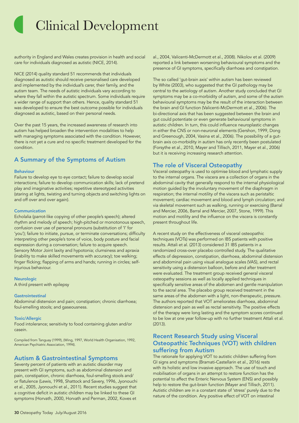authority in England and Wales creates provision in health and social care for individuals diagnosed as autistic (NICE, 2014).

NICE (2014) quality standard 51 recommends that individuals diagnosed as autistic should receive personalised care developed and implemented by the individual's carer, their family, and the autism team. The needs of autistic individuals vary according to where they fall within the autistic spectrum. Some individuals require a wider range of support than others. Hence, quality standard 51 was developed to ensure the best outcome possible for individuals diagnosed as autistic, based on their personal needs.

Over the past 15 years, the increased awareness of research into autism has helped broaden the intervention modalities to help with managing symptoms associated with the condition. However, there is not yet a cure and no specific treatment developed for the condition.

### A Summary of the Symptoms of Autism

### Behaviour

Failure to develop eye to eye contact; failure to develop social interactions; failure to develop communication skills; lack of pretend play and imaginative activities; repetitive stereotyped activities (staring at lights, twisting and turning objects and switching lights on and off over and over again).

### **Communication**

Echolalia (parrot-like copying of other people's speech); altered rhythm and melody of speech; high-pitched or monotonous speech, confusion over use of personal pronouns (substitution of 'I' for 'you'); failure to initiate, pursue, or terminate conversations; difficulty interpreting other people's tone of voice, body posture and facial expression during a conversation; failure to acquire speech. Sensory Motor Joint laxity and hypotonia; clumsiness and apraxia (inability to make skilled movements with accuracy); toe walking; finger flicking; flapping of arms and hands; running in circles; selfinjurious behaviour.

### **Neurologic**

A third present with epilepsy

### **Gastrointestinal**

Abdominal distension and pain; constipation; chronic diarrhoea; foul-smelling stools; and gaseousness.

### **Toxic/Allergic**

Food intolerance; sensitivity to food containing gluten and/or casein.

Compiled from Tanguay (1999), (Wing, 1997, World Health Organisation, 1992, American Psychiatric Association, 1994).

### Autism & Gastrointestinal Symptoms

Seventy percent of patients with an autistic disorder may present with GI symptoms, such as abdominal distension and pain, constipation, chronic diarrhoea, foul-smelling stools and/ or fatulence (Lewis, 1998, Shattock and Savery, 1996, Jyonouchi et al., 2005, Jyonouchi et al., 2011). Recent studies suggest that a cognitive deficit in autistic children may be linked to these GI symptoms (Horvath, 2000, Horvath and Perman, 2002, Koves et

al., 2004, Valicenti-McDermott et al., 2008). Nikolov et al. (2009) reported a link between worsening behavioural symptoms and the presence of GI symptoms, specifically diarrhoea and constipation.

The so called 'gut-brain axis' within autism has been reviewed by White (2003), who suggested that the GI pathology may be central to the aetiology of autism. Another study concluded that GI symptoms may be a co-morbidity of autism, and some of the autism behavioural symptoms may be the result of the interaction between the brain and GI function (Valicenti-McDermott et al., 2006). The bi-directional axis that has been suggested between the brain and gut could potentiate or even generate behavioural symptoms in autistic children. In turn, this could infuence neuroplastic changes in either the CNS or non-neuronal elements (Gershon, 1999, Dong and Greenough, 2004, Vasina et al., 2006). The possibility of a gutbrain axis co-morbidity in autism has only recently been postulated (Forsythe et al., 2010, Mayer and Tillisch, 2011, Mayer et al., 2006) but it is receiving increasing research attention.

### The role of Visceral Osteopathy

Visceral osteopathy is used to optimise blood and lymphatic supply to the internal organs. The viscera are a collection of organs in the abdominal cavity that generally respond to the internal physiological motion guided by the involuntary movement of the diaphragm in respiration; the internal motility of the viscera such as peristaltic movement; cardiac movement and blood and lymph circulation; and via skeletal movement such as walking, running or exercising (Barral and Mercier, 2006, Barral and Mercier, 2007, Stone, 1999). This motion and motility and the infuence on the viscera is constantly present throughout life.

A recent study on the effectiveness of visceral osteopathic techniques (VOTs) was performed on IBS patients with positive results. Attali et al. (2013) considered 31 IBS patients in a randomized cross-over placebo controlled study. The qualitative effects of depression, constipation, diarrhoea, abdominal distension and abdominal pain using visual analogue scales (VAS), and rectal sensitivity using a distension balloon, before and after treatment were evaluated. The treatment group received general visceral osteopathy sessions as well as locally applied techniques in specifically sensitive areas of the abdomen and gentle manipulation to the sacral area. The placebo group received treatment in the same areas of the abdomen with a light, non-therapeutic, pressure. The authors reported that VOT ameliorates diarrhoea, abdominal distension and pain as well as rectal sensitivity. The positive effects of the therapy were long lasting and the symptom scores continued to be low at one year follow-up with no further treatment Attali et al. (2013).

### Recent Research Study using Visceral Osteopathic Techniques (VOT) with children suffering from Autism

The rationale for applying VOT to autistic children suffering from GI signs and symptoms (Bramati-Castellarin et al., 2016) rests with its holistic and low invasive approach. The use of touch and mobilisation of organs in an attempt to restore function has the potential to affect the Enteric Nervous System (ENS) and possibly help to restore the gut-brain function (Mayer and Tillisch, 2011). Autistic children are in a constant state of 'stress' purely due to the nature of the condition. Any positive effect of VOT on intestinal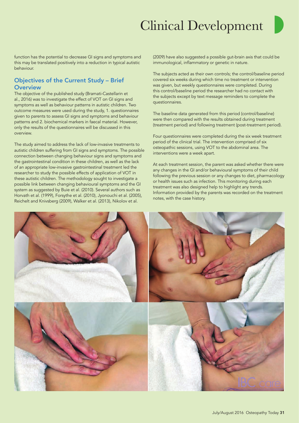

function has the potential to decrease GI signs and symptoms and this may be translated positively into a reduction in typical autistic behaviour.

### Objectives of the Current Study – Brief **Overview**

The objective of the published study (Bramati-Castellarin et al., 2016) was to investigate the effect of VOT on GI signs and symptoms as well as behaviour patterns in autistic children. Two outcome measures were used during the study, 1. questionnaires given to parents to assess GI signs and symptoms and behaviour patterns and 2. biochemical markers in faecal material. However, only the results of the questionnaires will be discussed in this overview.

The study aimed to address the lack of low-invasive treatments to autistic children suffering from GI signs and symptoms. The possible connection between changing behaviour signs and symptoms and the gastrointestinal condition in these children, as well as the lack of an appropriate low-invasive gastrointestinal treatment led the researcher to study the possible effects of application of VOT in these autistic children. The methodology sought to investigate a possible link between changing behavioural symptoms and the GI system as suggested by Buie et al. (2010). Several authors such as Horvath et al. (1999), Forsythe et al. (2010), Jyonouchi et al. (2005), Reichelt and Knivsberg (2009), Walker et al. (2013), Nikolov et al.

(2009) have also suggested a possible gut-brain axis that could be immunological, infammatory or genetic in nature.

The subjects acted as their own controls; the control/baseline period covered six weeks during which time no treatment or intervention was given, but weekly questionnaires were completed. During this control/baseline period the researcher had no contact with the subjects except by text message reminders to complete the questionnaires.

The baseline data generated from this period (control/baseline) were then compared with the results obtained during treatment (treatment period) and following treatment (post-treatment period).

Four questionnaires were completed during the six week treatment period of the clinical trial. The intervention comprised of six osteopathic sessions, using VOT to the abdominal area. The interventions were a week apart.

At each treatment session, the parent was asked whether there were any changes in the GI and/or behavioural symptoms of their child following the previous session or any changes to diet, pharmacology or health issues such as infection. This monitoring during each treatment was also designed help to highlight any trends. Information provided by the parents was recorded on the treatment notes, with the case history.

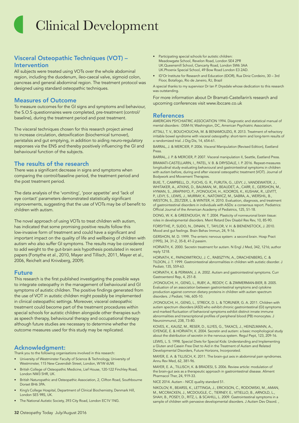### Visceral Osteopathic Techniques (VOT) – Intervention

All subjects were treated using VOTs over the whole abdominal region, including the duodenum, ileo-caecal valve, sigmoid colon, pancreas and general abdominal region. The treatment protocol was designed using standard osteopathic techniques.

### Measures of Outcome

To measure outcomes for the GI signs and symptoms and behaviour, the S.O.S questionnaires were completed, pre-treatment (control/ baseline), during the treatment period and post treatment.

The visceral techniques chosen for this research project aimed to increase circulation, detoxification (biochemical turnover), peristalsis and gut emptying, in addition to aiding neuro-regulatory responses via the ENS and thereby positively infuencing the GI and behavioural function of the subjects.

### The results of the research

There was a significant decrease in signs and symptoms when comparing the control/baseline period, the treatment period and the post treatment period.

The data analysis of the 'vomiting', 'poor appetite' and 'lack of eye contact' parameters demonstrated statistically significant improvements, suggesting that the use of VOTs may be of benefit to children with autism.

The novel approach of using VOTs to treat children with autism, has indicated that some promising positive results follow this low-invasive form of treatment and could have a significant and important impact on the quality of life and wellbeing of children with autism who also suffer GI symptoms. The results may be considered to add weight to the gut-brain axis hypothesis postulated in recent papers (Forsythe et al., 2010, Mayer and Tillisch, 2011, Mayer et al., 2006, Reichelt and Knivsberg, 2009).

### Future

This research is the first published investigating the possible ways to integrate osteopathy in the management of behavioural and GI symptoms of autistic children. The positive fndings generated from the use of VOT in autistic children might possibly be implemented in clinical osteopathic settings. Moreover, visceral osteopathic treatment could become part of the treatment procedures within special schools for autistic children alongside other therapies such as speech therapy, behavioural therapy and occupational therapy although future studies are necessary to determine whether the outcome measures used for this study may be replicated.

### Acknowledgment:

Thank you to the following organisations involved in this research:

- University of Westminster Faculty of Science & Technology, University of Westminster, 115 New Cavendish Street, London, W1W 6UW.
- British College of Osteopathic Medicine, Lief House, 120-122 Finchley Road, London NW3 5HR, UK.
- British Naturopathic and Osteopathic Association, 2, Clifton Road, Southbourne Dorset BH6 3PA.
- King's College Hospital, Department of Clinical Biochemistry, Denmark Hill, London SE5 9RS, UK.
- The National Autistic Society, 393 City Road, London EC1V 1NG.
- Participating special schools for autistic children: Meadowgate School, Revelon Road, London SE4 2PR UK.Queensmill School, Clancarty Road, London SW6 3AA UK.Phoenix Special School, 49 Bow Road London E3 2AD.
- ID'Or Institute for Research and Education (IDOR), Rua Diniz Cordeiro, 30 3rd Floor, Botafogo, Rio de Janeiro, RJ, Brazil

A special thanks to my supervisor Dr Ian P. Drysdale whose dedication to this research was outstanding.

For more information about Dr Bramati-Castellarin's research and upcoming conferences visit www.ibccare.co.uk

### References

AMERICAN PSYCHIATRIC ASSOCIATION 1994. Diagnostic and statistical manual of mental disorders : DSM-IV, Washington, DC, American Psychiatric Association.

ATTALI, T. V., BOUCHOUCHA, M. & BENAMOUZIG, R. 2013. Treatment of refractory irritable bowel syndrome with visceral osteopathy: short-term and long-term results of a randomized trial. J Dig Dis, 14, 654-61.

BARRAL, J. & MERCIER, P. 2006. Visceral Manipulation (Revised Edition), Eastland Press.

BARRAL, J. P. & MERCIER, P. 2007. Visceral manipulation II, Seattle, Eastland Press.

BRAMATI-CASTELLARIN, I., PATEL, V. B. & DRYSDALE, I. P. 2016. Repeat-measures longitudinal study evaluating behavioural and gastrointestinal symptoms in children with autism before, during and after visceral osteopathic treatment (VOT). Journal of Bodywork and Movement Therapies.

BUIE, T., CAMPBELL, D., FUCHS, G. R., FURUTA, G., LEVY, J., VANDEWATER, J., WHITAKER, A., ATKINS, D., BAUMAN, M., BEAUDET, A., CARR, E., GERSHON, M., HYMAN, S., JIRAPINYO, P., JYONOUCHI, H., KOOROS, K., KUSHAK, R., LEVITT, P., LEVY, S., LEWIS, J., MURRAY, K., NATOWICZ, M., SABRA, A., WERSHIL, B., WESTON, S., ZELTZER, L. & WINTER, H. 2010. Evaluation, diagnosis, and treatment of gastrointestinal disorders in individuals with ASDs: a consensus report. Pediatrics: Official Journal of the American Academy of Pediatrics, 125, S1-18.

DONG, W. K. & GREENOUGH, W. T. 2004. Plasticity of nonneuronal brain tissue: roles in developmental disorders. Ment Retard Dev Disabil Res Rev, 10, 85-90.

FORSYTHE, P., SUDO, N., DINAN, T., TAYLOR, V. H. & BIENENSTOCK, J. 2010. Mood and gut feelings. Brain Behav Immun, 24, 9-16.

GERSHON, M. D. 1999. The enteric nervous system: a second brain. Hosp Pract (1995), 34, 31-2, 35-8, 41-2 passim.

HORVATH, K. 2000. Secretin treatment for autism. N Engl J Med, 342, 1216; author reply 1218.

HORVATH, K., PAPADIMITRIOU, J. C., RABSZTYN, A., DRACHENBERG, C. & TILDON, J. T. 1999. Gastrointestinal abnormalities in children with autistic disorder. J Pediatr, 135, 559-63.

HORVATH, K. & PERMAN, J. A. 2002. Autism and gastrointestinal symptoms. Curr Gastroenterol Rep, 4, 251-8.

JYONOUCHI, H., GENG, L., RUBY, A., REDDY, C. & ZIMMERMAN-BIER, B. 2005. Evaluation of an association between gastrointestinal symptoms and cytokine production against common dietary proteins in children with autism spectrum disorders. J Pediatr, 146, 605-10.

JYONOUCHI, H., GENG, L., STRECK, D. L. & TORUNER, G. A. 2011. Children with autism spectrum disorders (ASD) who exhibit chronic gastrointestinal (GI) symptoms and marked fuctuation of behavioral symptoms exhibit distinct innate immune abnormalities and transcriptional profles of peripheral blood (PB) monocytes. J Neuroimmunol, 238, 73-80.

KOVES, K., KAUSZ, M., RESER, D., ILLYES, G., TAKACS, J., HEINZLMANN, A., GYENGE, E. & HORVATH, K. 2004. Secretin and autism: a basic morphological study about the distribution of secretin in the nervous system. Regul Pept, 123, 209-16.

LEWIS, L. S. 1998. Special Diets for Special Kids: Understanding and Implementing a Gluten and Casein Free Diet to Aid in the Treatment of Autism and Related Developmental Disorders, Future Horizons, Incorporated.

MAYER, E. A. & TILLISCH, K. 2011. The brain-gut axis in abdominal pain syndromes. Annu Rev Med, 62, 381-96.

MAYER, E. A., TILLISCH, K. & BRADESI, S. 2006. Review article: modulation of the brain-gut axis as a therapeutic approach in gastrointestinal disease. Aliment Pharmacol Ther, 24, 919-33.

NICE 2014. Autism - NICE quality standard 51.

NIKOLOV, R., BEARSS, K., LETTINGA, J., ERICKSON, C., RODOWSKI, M., AMAN, M., MCCRACKEN, J., MCDOUGLE, C., TIERNEY, E., VITIELLO, B., ARNOLD, L., SHAH, B., POSEY, D., RITZ, L. & SCAHILL, L. 2009. Gastrointestinal symptoms in a sample of children with pervasive developmental disorders. J Autism Dev Disord. ,